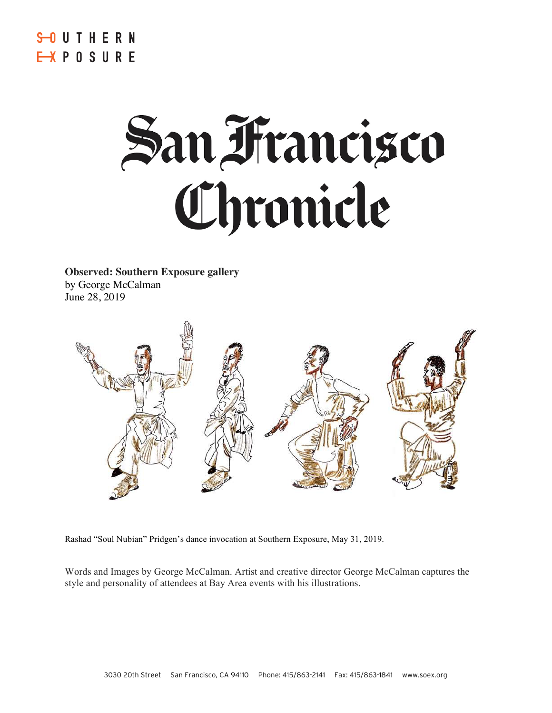# **S-OUTHERN** EXPOSURE

# San Francisco<br>Chronicle

**Observed: Southern Exposure gallery** by George McCalman June 28, 2019



Rashad "Soul Nubian" Pridgen's dance invocation at Southern Exposure, May 31, 2019.

Words and Images by George McCalman. Artist and creative director George McCalman captures the style and personality of attendees at Bay Area events with his illustrations.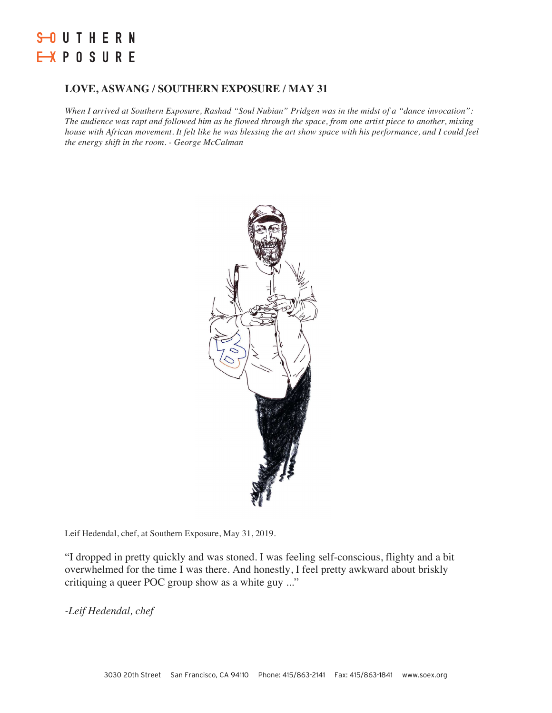# **S-OUTHERN** EXPOSURE

## **LOVE, ASWANG / SOUTHERN EXPOSURE / MAY 31**

*When I arrived at Southern Exposure, Rashad "Soul Nubian" Pridgen was in the midst of a "dance invocation": The audience was rapt and followed him as he flowed through the space, from one artist piece to another, mixing house with African movement. It felt like he was blessing the art show space with his performance, and I could feel the energy shift in the room. - George McCalman*



Leif Hedendal, chef, at Southern Exposure, May 31, 2019.

"I dropped in pretty quickly and was stoned. I was feeling self-conscious, flighty and a bit overwhelmed for the time I was there. And honestly, I feel pretty awkward about briskly critiquing a queer POC group show as a white guy ..."

*-Leif Hedendal, chef*